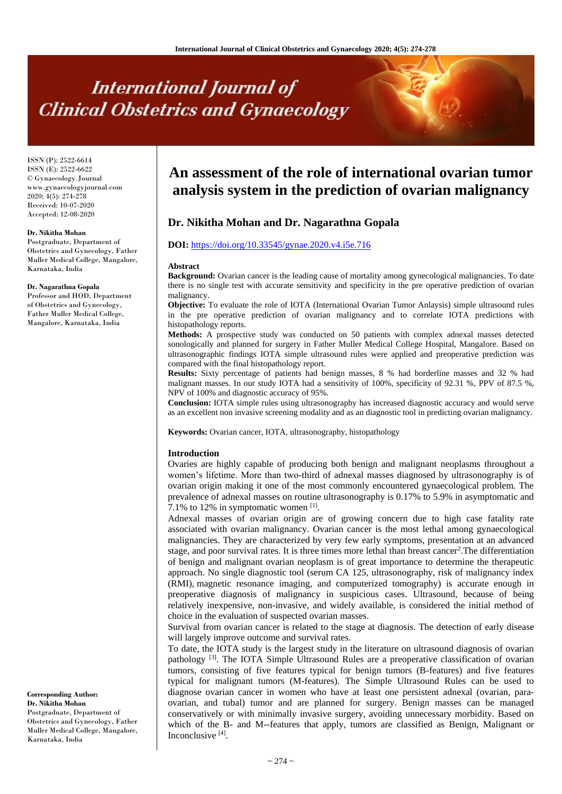# **International Journal of Clinical Obstetrics and Gynaecology**

ISSN (P): 2522-6614 ISSN (E): 2522-6622 © Gynaecology Journal www.gynaecologyjournal.com 2020; 4(5): 274-278 Received: 10-07-2020 Accepted: 12-08-2020

#### **Dr. Nikitha Mohan**

Postgraduate, Department of Obstetrics and Gynecology, Father Muller Medical College, Mangalore, Karnataka, India

#### **Dr. Nagarathna Gopala**

Professor and HOD, Department of Obstetrics and Gynecology, Father Muller Medical College, Mangalore, Karnataka, India

**Corresponding Author: Dr. Nikitha Mohan** Postgraduate, Department of Obstetrics and Gynecology, Father Muller Medical College, Mangalore, Karnataka, India

# **An assessment of the role of international ovarian tumor analysis system in the prediction of ovarian malignancy**

# **Dr. Nikitha Mohan and Dr. Nagarathna Gopala**

# **DOI:** <https://doi.org/10.33545/gynae.2020.v4.i5e.716>

#### **Abstract**

**Background:** Ovarian cancer is the leading cause of mortality among gynecological malignancies. To date there is no single test with accurate sensitivity and specificity in the pre operative prediction of ovarian malignancy.

**Objective:** To evaluate the role of IOTA (International Ovarian Tumor Anlaysis) simple ultrasound rules in the pre operative prediction of ovarian malignancy and to correlate IOTA predictions with histopathology reports.

**Methods:** A prospective study was conducted on 50 patients with complex adnexal masses detected sonologically and planned for surgery in Father Muller Medical College Hospital, Mangalore. Based on ultrasonographic findings IOTA simple ultrasound rules were applied and preoperative prediction was compared with the final histopathology report.

**Results:** Sixty percentage of patients had benign masses, 8 % had borderline masses and 32 % had malignant masses. In our study IOTA had a sensitivity of 100%, specificity of 92.31 %, PPV of 87.5 %, NPV of 100% and diagnostic accuracy of 95%.

**Conclusion:** IOTA simple rules using ultrasonography has increased diagnostic accuracy and would serve as an excellent non invasive screening modality and as an diagnostic tool in predicting ovarian malignancy.

**Keywords:** Ovarian cancer, IOTA, ultrasonography, histopathology

#### **Introduction**

Ovaries are highly capable of producing both benign and malignant neoplasms throughout a women's lifetime. More than two-third of adnexal masses diagnosed by ultrasonography is of ovarian origin making it one of the most commonly encountered gynaecological problem. The prevalence of adnexal masses on routine ultrasonography is 0.17% to 5.9% in asymptomatic and 7.1% to 12% in symptomatic women  $[1]$ .

Adnexal masses of ovarian origin are of growing concern due to high case fatality rate associated with ovarian malignancy. Ovarian cancer is the most lethal among gynaecological malignancies. They are characterized by very few early symptoms, presentation at an advanced stage, and poor survival rates. It is three times more lethal than breast cancer<sup>2</sup>. The differentiation of benign and malignant ovarian neoplasm is of great importance to determine the therapeutic approach. No single diagnostic tool (serum CA 125, ultrasonography, risk of malignancy index (RMI), magnetic resonance imaging, and computerized tomography) is accurate enough in preoperative diagnosis of malignancy in suspicious cases. Ultrasound, because of being relatively inexpensive, non-invasive, and widely available, is considered the initial method of choice in the evaluation of suspected ovarian masses.

Survival from ovarian cancer is related to the stage at diagnosis. The detection of early disease will largely improve outcome and survival rates.

To date, the IOTA study is the largest study in the literature on ultrasound diagnosis of ovarian pathology <sup>[3]</sup>. The IOTA Simple Ultrasound Rules are a preoperative classification of ovarian tumors, consisting of five features typical for benign tumors (B-features) and five features typical for malignant tumors (M-features). The Simple Ultrasound Rules can be used to diagnose ovarian cancer in women who have at least one persistent adnexal (ovarian, paraovarian, and tubal) tumor and are planned for surgery. Benign masses can be managed conservatively or with minimally invasive surgery, avoiding unnecessary morbidity. Based on which of the B- and M--features that apply, tumors are classified as Benign, Malignant or Inconclusive<sup>[4]</sup>.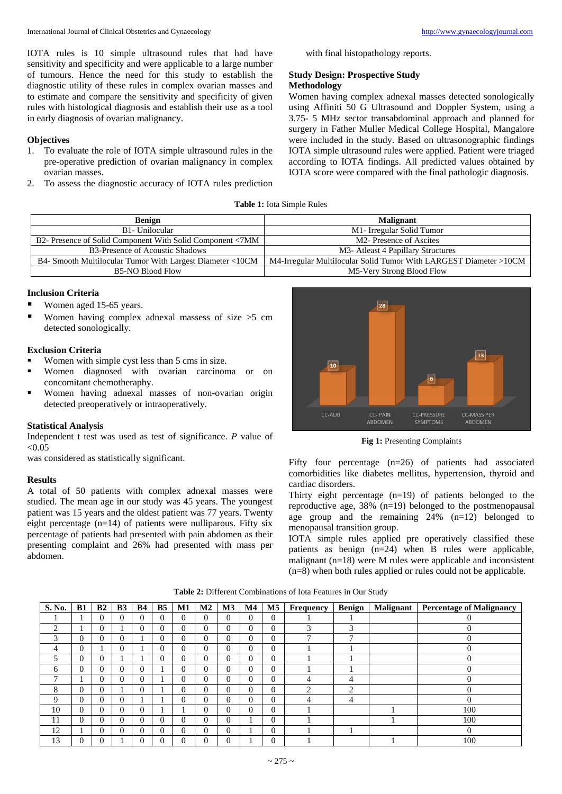IOTA rules is 10 simple ultrasound rules that had have sensitivity and specificity and were applicable to a large number of tumours. Hence the need for this study to establish the diagnostic utility of these rules in complex ovarian masses and to estimate and compare the sensitivity and specificity of given rules with histological diagnosis and establish their use as a tool in early diagnosis of ovarian malignancy.

# **Objectives**

- 1. To evaluate the role of IOTA simple ultrasound rules in the pre-operative prediction of ovarian malignancy in complex ovarian masses.
- 2. To assess the diagnostic accuracy of IOTA rules prediction

with final histopathology reports.

# **Study Design: Prospective Study Methodology**

Women having complex adnexal masses detected sonologically using Affiniti 50 G Ultrasound and Doppler System, using a 3.75- 5 MHz sector transabdominal approach and planned for surgery in Father Muller Medical College Hospital, Mangalore were included in the study. Based on ultrasonographic findings IOTA simple ultrasound rules were applied. Patient were triaged according to IOTA findings. All predicted values obtained by IOTA score were compared with the final pathologic diagnosis.

| <b>Benign</b>                                             | <b>Malignant</b>                                                  |
|-----------------------------------------------------------|-------------------------------------------------------------------|
| B <sub>1</sub> -Unilocular                                | M1- Irregular Solid Tumor                                         |
| B2- Presence of Solid Component With Solid Component <7MM | M <sub>2</sub> - Presence of Ascites                              |
| B3-Presence of Acoustic Shadows                           | M <sub>3</sub> -Atleast 4 Papillary Structures                    |
| B4- Smooth Multilocular Tumor With Largest Diameter <10CM | M4-Irregular Multilocular Solid Tumor With LARGEST Diameter >10CM |
| <b>B5-NO Blood Flow</b>                                   | M5-Very Strong Blood Flow                                         |

# **Inclusion Criteria**

- Women aged 15-65 years.
- Women having complex adnexal massess of size  $>5$  cm detected sonologically.

## **Exclusion Criteria**

- Women with simple cyst less than 5 cms in size.
- Women diagnosed with ovarian carcinoma or on concomitant chemotheraphy.
- Women having adnexal masses of non-ovarian origin detected preoperatively or intraoperatively.

# **Statistical Analysis**

Independent t test was used as test of significance. *P* value of  $< 0.05$ 

was considered as statistically significant.

# **Results**

A total of 50 patients with complex adnexal masses were studied. The mean age in our study was 45 years. The youngest patient was 15 years and the oldest patient was 77 years. Twenty eight percentage  $(n=14)$  of patients were nulliparous. Fifty six percentage of patients had presented with pain abdomen as their presenting complaint and 26% had presented with mass per abdomen.



Fig 1: Presenting Complaints

Fifty four percentage (n=26) of patients had associated comorbidities like diabetes mellitus, hypertension, thyroid and cardiac disorders.

Thirty eight percentage  $(n=19)$  of patients belonged to the reproductive age, 38% (n=19) belonged to the postmenopausal age group and the remaining  $24\%$   $(n=12)$  belonged to menopausal transition group.

IOTA simple rules applied pre operatively classified these patients as benign (n=24) when B rules were applicable, malignant (n=18) were M rules were applicable and inconsistent (n=8) when both rules applied or rules could not be applicable.

**Table 2:** Different Combinations of Iota Features in Our Study

| S. No.         | B1             | B <sub>2</sub> | B <sub>3</sub> | <b>B4</b> | B <sub>5</sub> | M1       | M2       | M3       | $\mathbf{M}4$ | M <sub>5</sub> | Frequency                | <b>Benign</b> | <b>Malignant</b> | <b>Percentage of Malignancy</b> |
|----------------|----------------|----------------|----------------|-----------|----------------|----------|----------|----------|---------------|----------------|--------------------------|---------------|------------------|---------------------------------|
|                |                | $\Omega$       |                | 0         | 0              | $\Omega$ | $\Omega$ | $\Omega$ | $\Omega$      | $\theta$       |                          |               |                  | $\theta$                        |
| $\overline{c}$ |                | $\Omega$       |                | 0         | $\Omega$       | $\Omega$ | $\Omega$ | $\Omega$ | $\Omega$      | $\Omega$       | 3                        | 3             |                  |                                 |
| 3              | $\Omega$       | $\Omega$       |                |           | $\Omega$       | $\Omega$ | $\Omega$ | $\Omega$ | $\mathbf{0}$  | $\Omega$       | $\overline{\phantom{0}}$ | ┑             |                  | $\Omega$                        |
| 4              | $\Omega$       |                |                |           | 0              | $\theta$ | $\Omega$ | $\Omega$ | $\Omega$      | $\theta$       |                          |               |                  |                                 |
| 5              | $\Omega$       | $\Omega$       |                |           | $\Omega$       | $\Omega$ | $\Omega$ | $\Omega$ | $\Omega$      | $\Omega$       |                          |               |                  | $\Omega$                        |
| 6              | $\Omega$       | $\Omega$       |                | 0         |                | $\theta$ | $\Omega$ | $\Omega$ | $\Omega$      | $\Omega$       |                          |               |                  | $\Omega$                        |
| ⇁              |                | $\Omega$       |                | 0         |                | $\theta$ | $\Omega$ | $\Omega$ | $\Omega$      | $\Omega$       | 4                        | 4             |                  | $\Omega$                        |
| 8              | $\Omega$       | $\Omega$       |                | 0         |                | $\Omega$ | $\Omega$ | $\Omega$ | $\Omega$      | $\Omega$       | 2                        | ↑             |                  | $\theta$                        |
| 9              | $\Omega$       | $\Omega$       |                |           |                | $\Omega$ | $\Omega$ | $\Omega$ | $\Omega$      | $\Omega$       | 4                        | 4             |                  | $\Omega$                        |
| 10             | $\Omega$       | $\Omega$       |                | 0         |                |          | $\Omega$ | $\Omega$ | $\Omega$      | $\theta$       |                          |               |                  | 100                             |
| 11             | $\Omega$       | $\Omega$       |                | 0         | 0              | $\Omega$ | $\Omega$ | $\theta$ |               | $\Omega$       |                          |               |                  | 100                             |
| 12             |                | $\Omega$       | $\theta$       | 0         | 0              | $\Omega$ | $\Omega$ | $\Omega$ |               | $\theta$       |                          |               |                  | $\Omega$                        |
| 13             | $\overline{0}$ | $\Omega$       |                |           |                | $\theta$ |          |          |               | $\theta$       |                          |               |                  | 100                             |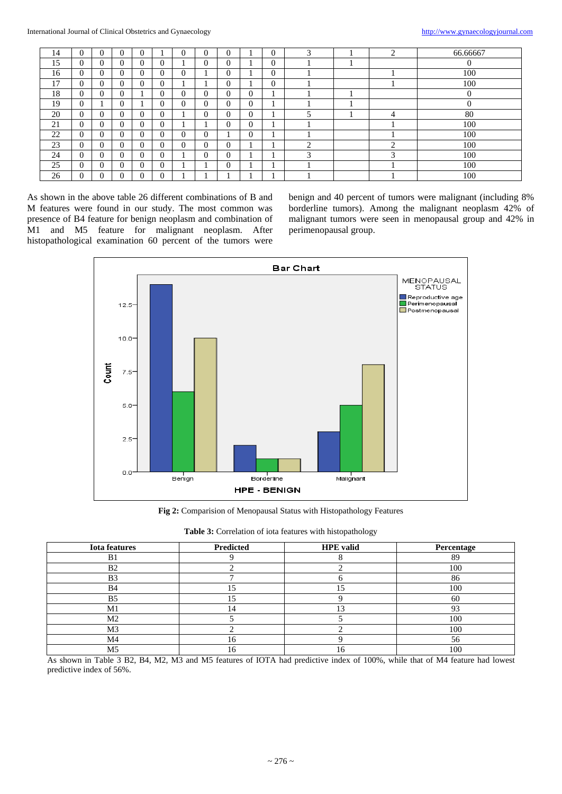| 14 | $\overline{0}$ | $\overline{0}$ | $\overline{0}$ | $\overline{0}$ | $\boldsymbol{0}$ | $\mathbf{0}$ | 0 |          | $\overline{0}$ |   |           | 66.66667       |
|----|----------------|----------------|----------------|----------------|------------------|--------------|---|----------|----------------|---|-----------|----------------|
| 15 | $\overline{0}$ | $\Omega$       | $\Omega$       | $\Omega$       |                  | 0            | 0 |          | 0              |   |           | $\overline{0}$ |
| 16 | $\Omega$       | $\Omega$       | $\Omega$       | $\Omega$       | 0                |              | 0 |          | 0              |   |           | 100            |
| 17 | $\Omega$       | $\Omega$       | $\Omega$       | $\Omega$       |                  |              | 0 |          | 0              |   |           | 100            |
| 18 | $\Omega$       | 0              | $\Omega$       |                | 0                | 0            | 0 | $\Omega$ |                |   |           |                |
| 19 | $\overline{0}$ |                | $\theta$       |                | 0                | 0            | 0 | $\Omega$ |                |   |           | U              |
| 20 | $\overline{0}$ | 0              | $\Omega$       | $\Omega$       |                  | $\Omega$     | 0 | $\Omega$ |                |   | 4         | 80             |
| 21 | $\overline{0}$ | 0              | $\Omega$       | $\Omega$       |                  |              | 0 | $\Omega$ |                |   |           | 100            |
| 22 | $\theta$       | $\Omega$       | $\theta$       | $\Omega$       | 0                | $\Omega$     |   | $\Omega$ |                |   |           | 100            |
| 23 | $\overline{0}$ | $\Omega$       | $\Omega$       | $\Omega$       | 0                | $\Omega$     | 0 |          |                | ◠ | $\bigcap$ | 100            |
| 24 | $\theta$       | 0              | $\Omega$       | $\Omega$       |                  | $\Omega$     | 0 |          |                | 3 | $\sim$    | 100            |
| 25 | $\theta$       | $\Omega$       | $\Omega$       | $\Omega$       |                  |              | 0 |          |                |   |           | 100            |
| 26 | $\overline{0}$ | 0              | $\overline{0}$ |                |                  |              |   |          |                |   |           | 100            |

As shown in the above table 26 different combinations of B and M features were found in our study. The most common was presence of B4 feature for benign neoplasm and combination of M1 and M5 feature for malignant neoplasm. After histopathological examination 60 percent of the tumors were

benign and 40 percent of tumors were malignant (including 8% borderline tumors). Among the malignant neoplasm 42% of malignant tumors were seen in menopausal group and 42% in perimenopausal group.



**Fig 2:** Comparision of Menopausal Status with Histopathology Features

| <b>Iota features</b> | Predicted | <b>HPE</b> valid | Percentage |
|----------------------|-----------|------------------|------------|
| B <sub>1</sub>       |           |                  | 89         |
| B <sub>2</sub>       |           |                  | 100        |
| B <sub>3</sub>       |           |                  | 86         |
| B <sub>4</sub>       | 15        |                  | 100        |
| B <sub>5</sub>       | ۱۲        |                  | 60         |
| M <sub>1</sub>       | 14        | $\sqrt{2}$       | 02         |
| M <sub>2</sub>       |           |                  | 100        |
| M <sub>3</sub>       |           |                  | 100        |
| M4                   | 16        |                  | 56         |
| M5                   | 16        | lб               | 100        |

As shown in Table 3 B2, B4, M2, M3 and M5 features of IOTA had predictive index of 100%, while that of M4 feature had lowest predictive index of 56%.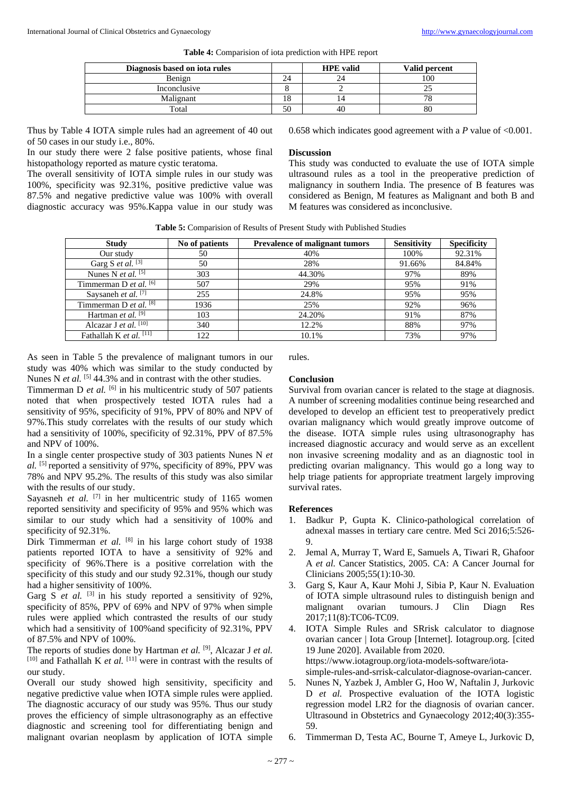|  |  | <b>Table 4:</b> Comparision of iota prediction with HPE report |
|--|--|----------------------------------------------------------------|
|  |  |                                                                |

| Diagnosis based on iota rules |    | <b>HPE</b> valid | Valid percent |
|-------------------------------|----|------------------|---------------|
| Benign                        |    |                  | 100           |
| Inconclusive                  |    |                  |               |
| Malignant                     |    |                  |               |
| Total                         | 50 |                  |               |

Thus by Table 4 IOTA simple rules had an agreement of 40 out of 50 cases in our study i.e., 80%.

In our study there were 2 false positive patients, whose final histopathology reported as mature cystic teratoma.

The overall sensitivity of IOTA simple rules in our study was 100%, specificity was 92.31%, positive predictive value was 87.5% and negative predictive value was 100% with overall diagnostic accuracy was 95%.Kappa value in our study was

0.658 which indicates good agreement with a *P* value of <0.001.

# **Discussion**

This study was conducted to evaluate the use of IOTA simple ultrasound rules as a tool in the preoperative prediction of malignancy in southern India. The presence of B features was considered as Benign, M features as Malignant and both B and M features was considered as inconclusive.

| <b>Table 5:</b> Comparision of Results of Present Study with Published Studies |
|--------------------------------------------------------------------------------|
|--------------------------------------------------------------------------------|

| <b>Study</b>                        | No of patients | <b>Prevalence of malignant tumors</b> | <b>Sensitivity</b> | <b>Specificity</b> |
|-------------------------------------|----------------|---------------------------------------|--------------------|--------------------|
| Our study                           | 50             | 40%                                   | 100%               | 92.31%             |
| Garg S <i>et al.</i> $\overline{3}$ | 50             | 28%                                   | 91.66%             | 84.84%             |
| Nunes N <i>et al.</i> $^{[5]}$      | 303            | 44.30%                                | 97%                | 89%                |
| Timmerman D et al. $[6]$            | 507            | 29%                                   | 95%                | 91%                |
| Saysaneh et al. <sup>[7]</sup>      | 255            | 24.8%                                 | 95%                | 95%                |
| Timmerman D et al. $[8]$            | 1936           | 25%                                   | 92%                | 96%                |
| Hartman et al. <sup>[9]</sup>       | 103            | 24.20%                                | 91%                | 87%                |
| Alcazar J et al. [10]               | 340            | 12.2%                                 | 88%                | 97%                |
| Fathallah K et al. $[11]$           | 122            | 10.1%                                 | 73%                | 97%                |

As seen in Table 5 the prevalence of malignant tumors in our study was 40% which was similar to the study conducted by Nunes N *et al.* <sup>[5]</sup> 44.3% and in contrast with the other studies.

Timmerman D *et al.* <sup>[6]</sup> in his multicentric study of 507 patients noted that when prospectively tested IOTA rules had a sensitivity of 95%, specificity of 91%, PPV of 80% and NPV of 97%.This study correlates with the results of our study which had a sensitivity of 100%, specificity of 92.31%, PPV of 87.5% and NPV of 100%.

In a single center prospective study of 303 patients Nunes N *et al.* [5] reported a sensitivity of 97%, specificity of 89%, PPV was 78% and NPV 95.2%. The results of this study was also similar with the results of our study.

Sayasneh et al. <sup>[7]</sup> in her multicentric study of 1165 women reported sensitivity and specificity of 95% and 95% which was similar to our study which had a sensitivity of 100% and specificity of 92.31%.

Dirk Timmerman *et al.* <sup>[8]</sup> in his large cohort study of 1938 patients reported IOTA to have a sensitivity of 92% and specificity of 96%.There is a positive correlation with the specificity of this study and our study 92.31%, though our study had a higher sensitivity of 100%.

Garg S et al. <sup>[3]</sup> in his study reported a sensitivity of 92%, specificity of 85%, PPV of 69% and NPV of 97% when simple rules were applied which contrasted the results of our study which had a sensitivity of 100%and specificity of 92.31%, PPV of 87.5% and NPV of 100%.

The reports of studies done by Hartman *et al.* [9] , Alcazar J *et al.* [10] and Fathallah K *et al.* [11] were in contrast with the results of our study.

Overall our study showed high sensitivity, specificity and negative predictive value when IOTA simple rules were applied. The diagnostic accuracy of our study was 95%. Thus our study proves the efficiency of simple ultrasonography as an effective diagnostic and screening tool for differentiating benign and malignant ovarian neoplasm by application of IOTA simple

rules.

# **Conclusion**

Survival from ovarian cancer is related to the stage at diagnosis. A number of screening modalities continue being researched and developed to develop an efficient test to preoperatively predict ovarian malignancy which would greatly improve outcome of the disease. IOTA simple rules using ultrasonography has increased diagnostic accuracy and would serve as an excellent non invasive screening modality and as an diagnostic tool in predicting ovarian malignancy. This would go a long way to help triage patients for appropriate treatment largely improving survival rates.

#### **References**

- 1. Badkur P, Gupta K. Clinico-pathological correlation of adnexal masses in tertiary care centre. Med Sci 2016;5:526- 9.
- 2. Jemal A, Murray T, Ward E, Samuels A, Tiwari R, Ghafoor A *et al.* Cancer Statistics, 2005. CA: A Cancer Journal for Clinicians 2005;55(1):10-30.
- 3. Garg S, Kaur A, Kaur Mohi J, Sibia P, Kaur N. Evaluation of IOTA simple ultrasound rules to distinguish benign and malignant ovarian tumours. J Clin Diagn Res 2017;11(8):TC06-TC09.
- 4. IOTA Simple Rules and SRrisk calculator to diagnose ovarian cancer | Iota Group [Internet]. Iotagroup.org. [cited 19 June 2020]. Available from 2020. https://www.iotagroup.org/iota-models-software/iotasimple-rules-and-srrisk-calculator-diagnose-ovarian-cancer.
- 5. Nunes N, Yazbek J, Ambler G, Hoo W, Naftalin J, Jurkovic D *et al.* Prospective evaluation of the IOTA logistic regression model LR2 for the diagnosis of ovarian cancer. Ultrasound in Obstetrics and Gynaecology 2012;40(3):355- 59.
- 6. Timmerman D, Testa AC, Bourne T, Ameye L, Jurkovic D,